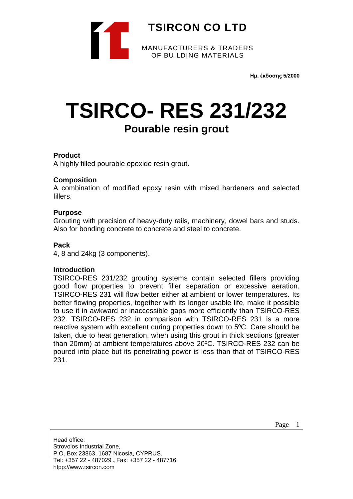

**Ημ. έκδοσης 5/2000**

# **TSIRCO- RES 231/232 Pourable resin grout**

# **Product**

A highly filled pourable epoxide resin grout.

# **Composition**

A combination of modified epoxy resin with mixed hardeners and selected fillers.

# **Purpose**

Grouting with precision of heavy-duty rails, machinery, dowel bars and studs. Also for bonding concrete to concrete and steel to concrete.

# **Pack**

4, 8 and 24kg (3 components).

#### **Introduction**

TSIRCO-RES 231/232 grouting systems contain selected fillers providing good flow properties to prevent filler separation or excessive aeration. TSIRCO-RES 231 will flow better either at ambient or lower temperatures. Its better flowing properties, together with its longer usable life, make it possible to use it in awkward or inaccessible gaps more efficiently than TSIRCO-RES 232. TSIRCO-RES 232 in comparison with TSIRCO-RES 231 is a more reactive system with excellent curing properties down to 5ºC. Care should be taken, due to heat generation, when using this grout in thick sections (greater than 20mm) at ambient temperatures above 20ºC. TSIRCO-RES 232 can be poured into place but its penetrating power is less than that of TSIRCO-RES 231.

Head office: Strovolos Industrial Zone, P.O. Box 23863, 1687 Nicosia, CYPRUS. Tel: +357 22 - 487029 **,** Fax: +357 22 - 487716 htpp://www.tsircon.com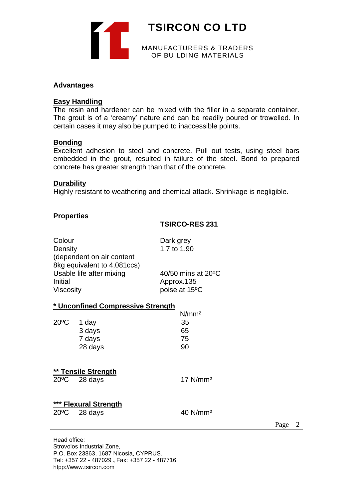

### **Advantages**

#### **Easy Handling**

The resin and hardener can be mixed with the filler in a separate container. The grout is of a 'creamy' nature and can be readily poured or trowelled. In certain cases it may also be pumped to inaccessible points.

# **Bonding**

Excellent adhesion to steel and concrete. Pull out tests, using steel bars embedded in the grout, resulted in failure of the steel. Bond to prepared concrete has greater strength than that of the concrete.

### **Durability**

Highly resistant to weathering and chemical attack. Shrinkage is negligible.

# **Properties**

# **TSIRCO-RES 231**

| Colour<br>Density<br>(dependent on air content<br>8kg equivalent to 4,081ccs)<br>Usable life after mixing<br>Initial<br>Viscosity |                                          | Dark grey<br>1.7 to 1.90<br>$40/50$ mins at $20^{\circ}$ C<br>Approx.135<br>poise at 15°C |
|-----------------------------------------------------------------------------------------------------------------------------------|------------------------------------------|-------------------------------------------------------------------------------------------|
|                                                                                                                                   | <u>* Unconfined Compressive Strength</u> |                                                                                           |
|                                                                                                                                   |                                          | N/mm <sup>2</sup>                                                                         |
| $20^{\circ}$ C                                                                                                                    | 1 day                                    | 35                                                                                        |
|                                                                                                                                   | 3 days                                   | 65                                                                                        |
|                                                                                                                                   | 7 days                                   | 75                                                                                        |
|                                                                                                                                   | 28 days                                  | 90                                                                                        |
|                                                                                                                                   | ** Tensile Strength                      |                                                                                           |
|                                                                                                                                   | $20^{\circ}$ C 28 days                   | 17 N/mm <sup>2</sup>                                                                      |
|                                                                                                                                   | *** Flexural Strength                    |                                                                                           |
|                                                                                                                                   | $20^{\circ}$ C 28 days                   | 40 N/mm <sup>2</sup>                                                                      |
|                                                                                                                                   |                                          |                                                                                           |

Page 2

Head office: Strovolos Industrial Zone, P.O. Box 23863, 1687 Nicosia, CYPRUS. Tel: +357 22 - 487029 **,** Fax: +357 22 - 487716 htpp://www.tsircon.com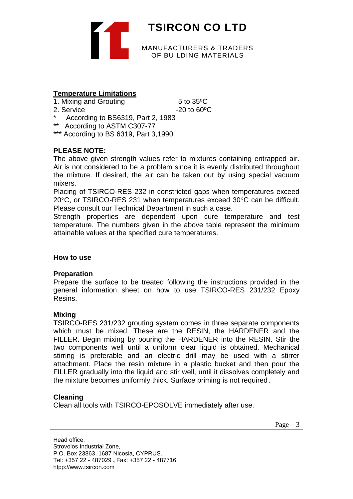

# **Temperature Limitations**

- 1. Mixing and Grouting 6 to 35 °C
- 

2. Service  $-20$  to 60<sup>o</sup>C

- According to BS6319, Part 2, 1983
- \*\* According to ASTM C307-77
- \*\*\* According to BS 6319, Part 3,1990

# **PLEASE NOTE:**

The above given strength values refer to mixtures containing entrapped air. Air is not considered to be a problem since it is evenly distributed throughout the mixture. If desired, the air can be taken out by using special vacuum mixers.

Placing of TSIRCO-RES 232 in constricted gaps when temperatures exceed  $20^{\circ}$ C, or TSIRCO-RES 231 when temperatures exceed 30 $^{\circ}$ C can be difficult. Please consult our Technical Department in such a case.

Strength properties are dependent upon cure temperature and test temperature. The numbers given in the above table represent the minimum attainable values at the specified cure temperatures.

# **How to use**

# **Preparation**

Prepare the surface to be treated following the instructions provided in the general information sheet on how to use TSIRCO-RES 231/232 Epoxy Resins.

# **Mixing**

TSIRCO-RES 231/232 grouting system comes in three separate components which must be mixed. These are the RESIN, the HARDENER and the FILLER. Begin mixing by pouring the HARDENER into the RESIN. Stir the two components well until a uniform clear liquid is obtained. Mechanical stirring is preferable and an electric drill may be used with a stirrer attachment. Place the resin mixture in a plastic bucket and then pour the FILLER gradually into the liquid and stir well, until it dissolves completely and the mixture becomes uniformly thick. Surface priming is not required.

# **Cleaning**

Clean all tools with TSIRCO-EPOSOLVE immediately after use.

Page 3

Head office: Strovolos Industrial Zone, P.O. Box 23863, 1687 Nicosia, CYPRUS. Tel: +357 22 - 487029 **,** Fax: +357 22 - 487716 htpp://www.tsircon.com